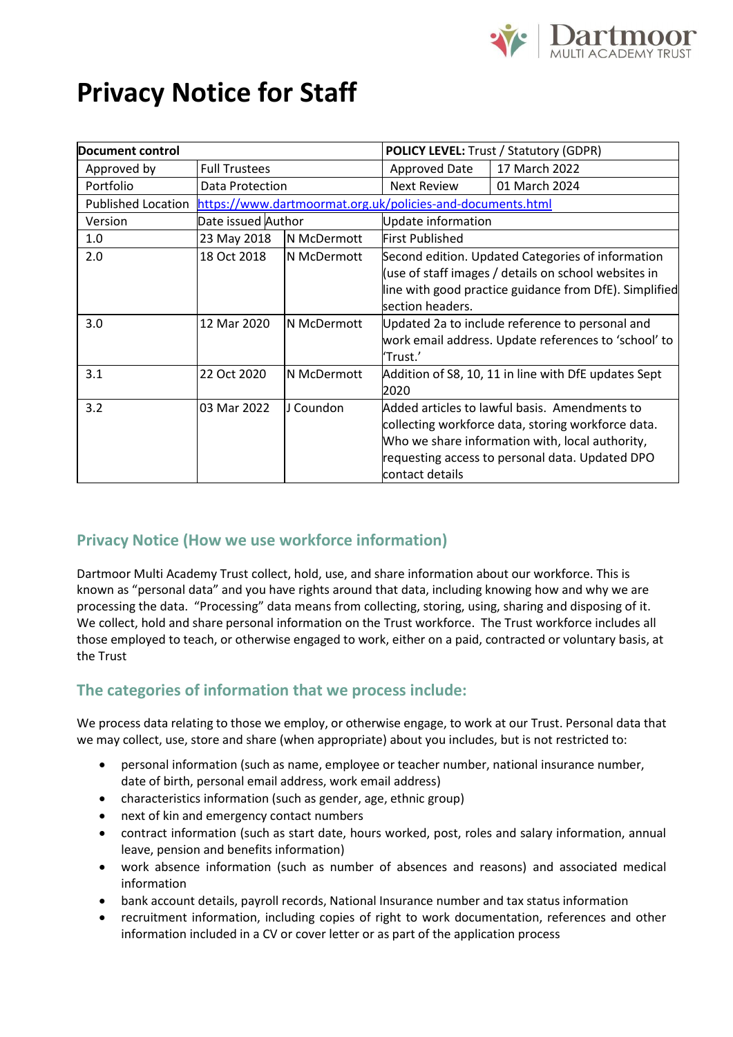

# **Privacy Notice for Staff**

| Document control          |                                                            |             | <b>POLICY LEVEL:</b> Trust / Statutory (GDPR)                                                                                                                                                                                |               |
|---------------------------|------------------------------------------------------------|-------------|------------------------------------------------------------------------------------------------------------------------------------------------------------------------------------------------------------------------------|---------------|
| Approved by               | <b>Full Trustees</b>                                       |             | Approved Date                                                                                                                                                                                                                | 17 March 2022 |
| Portfolio                 | Data Protection                                            |             | Next Review                                                                                                                                                                                                                  | 01 March 2024 |
| <b>Published Location</b> | https://www.dartmoormat.org.uk/policies-and-documents.html |             |                                                                                                                                                                                                                              |               |
| Version                   | Date issued Author                                         |             | Update information                                                                                                                                                                                                           |               |
| 1.0                       | 23 May 2018                                                | N McDermott | <b>First Published</b>                                                                                                                                                                                                       |               |
| 2.0                       | 18 Oct 2018                                                | N McDermott | Second edition. Updated Categories of information<br>(use of staff images / details on school websites in<br>line with good practice guidance from DfE). Simplified<br>section headers.                                      |               |
| 3.0                       | 12 Mar 2020                                                | N McDermott | Updated 2a to include reference to personal and<br>work email address. Update references to 'school' to<br>'Trust.'                                                                                                          |               |
| 3.1                       | 22 Oct 2020                                                | N McDermott | Addition of S8, 10, 11 in line with DfE updates Sept<br>2020                                                                                                                                                                 |               |
| 3.2                       | 03 Mar 2022                                                | J Coundon   | Added articles to lawful basis. Amendments to<br>collecting workforce data, storing workforce data.<br>Who we share information with, local authority,<br>requesting access to personal data. Updated DPO<br>contact details |               |

# **Privacy Notice (How we use workforce information)**

Dartmoor Multi Academy Trust collect, hold, use, and share information about our workforce. This is known as "personal data" and you have rights around that data, including knowing how and why we are processing the data. "Processing" data means from collecting, storing, using, sharing and disposing of it. We collect, hold and share personal information on the Trust workforce. The Trust workforce includes all those employed to teach, or otherwise engaged to work, either on a paid, contracted or voluntary basis, at the Trust

# **The categories of information that we process include:**

We process data relating to those we employ, or otherwise engage, to work at our Trust. Personal data that we may collect, use, store and share (when appropriate) about you includes, but is not restricted to:

- personal information (such as name, employee or teacher number, national insurance number, date of birth, personal email address, work email address)
- characteristics information (such as gender, age, ethnic group)
- next of kin and emergency contact numbers
- contract information (such as start date, hours worked, post, roles and salary information, annual leave, pension and benefits information)
- work absence information (such as number of absences and reasons) and associated medical information
- bank account details, payroll records, National Insurance number and tax status information
- recruitment information, including copies of right to work documentation, references and other information included in a CV or cover letter or as part of the application process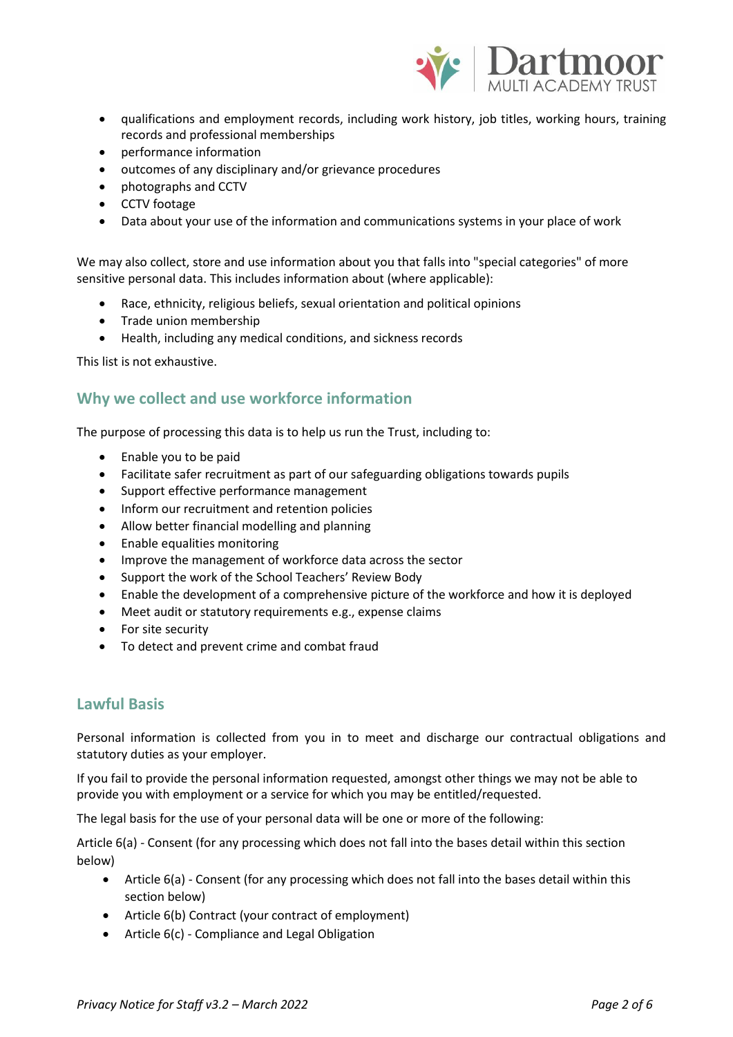

- qualifications and employment records, including work history, job titles, working hours, training records and professional memberships
- performance information
- outcomes of any disciplinary and/or grievance procedures
- photographs and CCTV
- CCTV footage
- Data about your use of the information and communications systems in your place of work

We may also collect, store and use information about you that falls into "special categories" of more sensitive personal data. This includes information about (where applicable):

- Race, ethnicity, religious beliefs, sexual orientation and political opinions
- Trade union membership
- Health, including any medical conditions, and sickness records

This list is not exhaustive.

## **Why we collect and use workforce information**

The purpose of processing this data is to help us run the Trust, including to:

- Enable you to be paid
- Facilitate safer recruitment as part of our safeguarding obligations towards pupils
- Support effective performance management
- Inform our recruitment and retention policies
- Allow better financial modelling and planning
- Enable equalities monitoring
- Improve the management of workforce data across the sector
- Support the work of the School Teachers' Review Body
- Enable the development of a comprehensive picture of the workforce and how it is deployed
- Meet audit or statutory requirements e.g., expense claims
- For site security
- To detect and prevent crime and combat fraud

## **Lawful Basis**

Personal information is collected from you in to meet and discharge our contractual obligations and statutory duties as your employer.

If you fail to provide the personal information requested, amongst other things we may not be able to provide you with employment or a service for which you may be entitled/requested.

The legal basis for the use of your personal data will be one or more of the following:

Article 6(a) - Consent (for any processing which does not fall into the bases detail within this section below)

- Article 6(a) Consent (for any processing which does not fall into the bases detail within this section below)
- Article 6(b) Contract (your contract of employment)
- Article 6(c) Compliance and Legal Obligation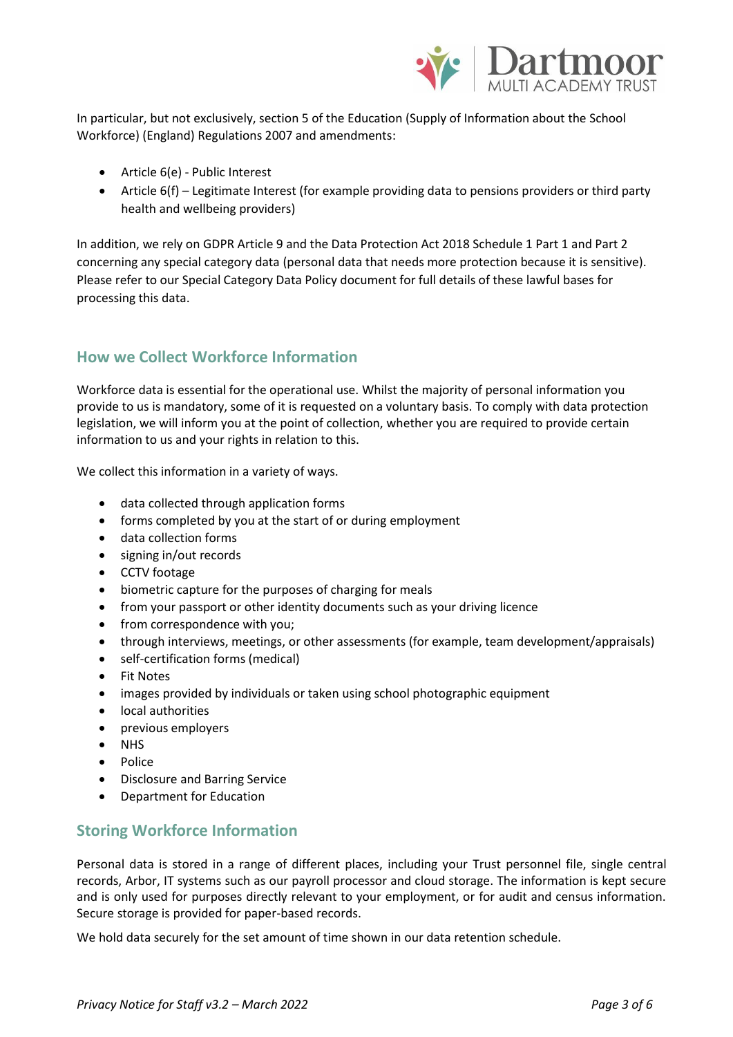

In particular, but not exclusively, section 5 of the Education (Supply of Information about the School Workforce) (England) Regulations 2007 and amendments:

- Article 6(e) Public Interest
- Article 6(f) Legitimate Interest (for example providing data to pensions providers or third party health and wellbeing providers)

In addition, we rely on GDPR Article 9 and the Data Protection Act 2018 Schedule 1 Part 1 and Part 2 concerning any special category data (personal data that needs more protection because it is sensitive). Please refer to our Special Category Data Policy document for full details of these lawful bases for processing this data.

## **How we Collect Workforce Information**

Workforce data is essential for the operational use. Whilst the majority of personal information you provide to us is mandatory, some of it is requested on a voluntary basis. To comply with data protection legislation, we will inform you at the point of collection, whether you are required to provide certain information to us and your rights in relation to this.

We collect this information in a variety of ways.

- data collected through application forms
- forms completed by you at the start of or during employment
- data collection forms
- signing in/out records
- CCTV footage
- biometric capture for the purposes of charging for meals
- from your passport or other identity documents such as your driving licence
- from correspondence with you;
- through interviews, meetings, or other assessments (for example, team development/appraisals)
- self-certification forms (medical)
- Fit Notes
- images provided by individuals or taken using school photographic equipment
- local authorities
- previous employers
- NHS
- Police
- Disclosure and Barring Service
- Department for Education

## **Storing Workforce Information**

Personal data is stored in a range of different places, including your Trust personnel file, single central records, Arbor, IT systems such as our payroll processor and cloud storage. The information is kept secure and is only used for purposes directly relevant to your employment, or for audit and census information. Secure storage is provided for paper-based records.

We hold data securely for the set amount of time shown in our data retention schedule.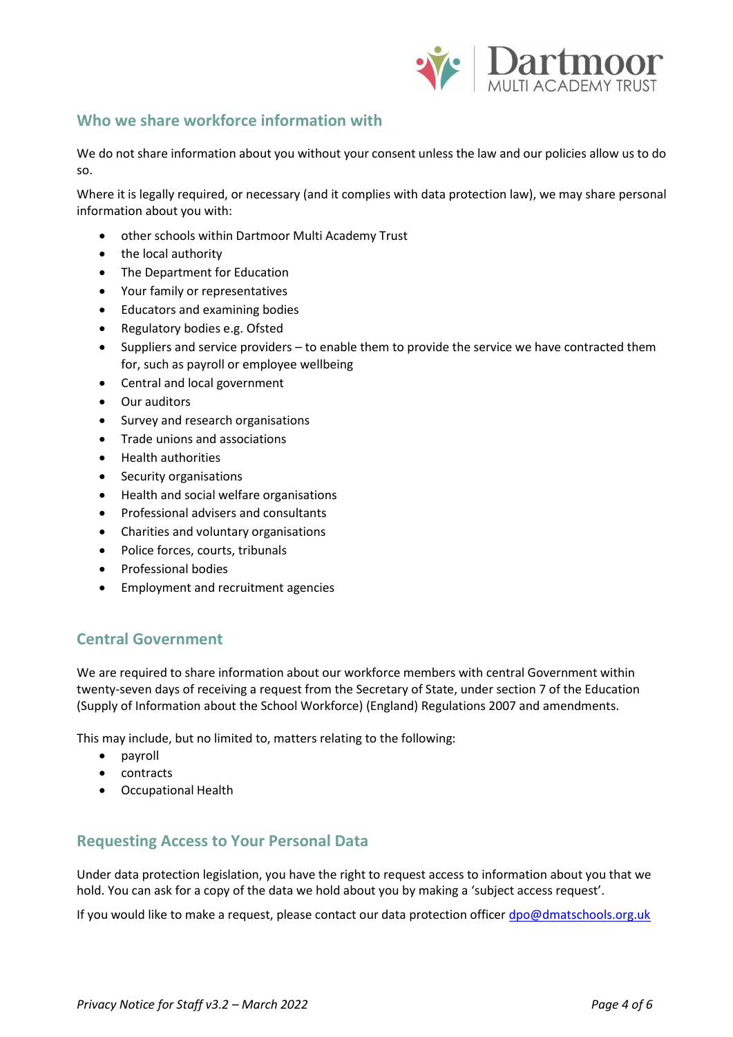

## **Who we share workforce information with**

We do not share information about you without your consent unless the law and our policies allow us to do so.

Where it is legally required, or necessary (and it complies with data protection law), we may share personal information about you with:

- other schools within Dartmoor Multi Academy Trust
- the local authority
- The Department for Education
- Your family or representatives
- Educators and examining bodies
- Regulatory bodies e.g. Ofsted
- Suppliers and service providers to enable them to provide the service we have contracted them for, such as payroll or employee wellbeing
- Central and local government
- Our auditors
- Survey and research organisations
- Trade unions and associations
- Health authorities
- Security organisations
- Health and social welfare organisations
- Professional advisers and consultants
- Charities and voluntary organisations
- Police forces, courts, tribunals
- Professional bodies
- Employment and recruitment agencies

## **Central Government**

We are required to share information about our workforce members with central Government within twenty-seven days of receiving a request from the Secretary of State, under section 7 of the Education (Supply of Information about the School Workforce) (England) Regulations 2007 and amendments.

This may include, but no limited to, matters relating to the following:

- payroll
- contracts
- Occupational Health

## **Requesting Access to Your Personal Data**

Under data protection legislation, you have the right to request access to information about you that we hold. You can ask for a copy of the data we hold about you by making a 'subject access request'.

If you would like to make a request, please contact our data protection officer [dpo@dmatschools.org.uk](mailto:dpo@dmatschools.org.uk)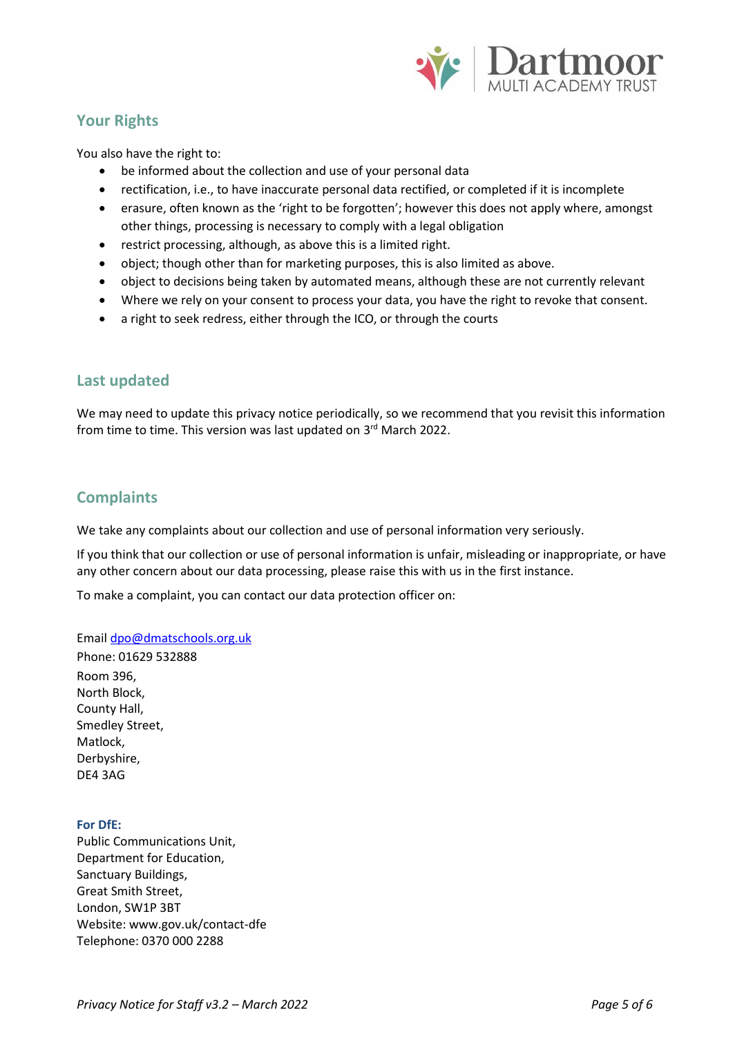

# **Your Rights**

You also have the right to:

- be informed about the collection and use of your personal data
- rectification, i.e., to have inaccurate personal data rectified, or completed if it is incomplete
- erasure, often known as the 'right to be forgotten'; however this does not apply where, amongst other things, processing is necessary to comply with a legal obligation
- restrict processing, although, as above this is a limited right.
- object; though other than for marketing purposes, this is also limited as above.
- object to decisions being taken by automated means, although these are not currently relevant
- Where we rely on your consent to process your data, you have the right to revoke that consent.
- a right to seek redress, either through the ICO, or through the courts

## **Last updated**

We may need to update this privacy notice periodically, so we recommend that you revisit this information from time to time. This version was last updated on 3<sup>rd</sup> March 2022.

## **Complaints**

We take any complaints about our collection and use of personal information very seriously.

If you think that our collection or use of personal information is unfair, misleading or inappropriate, or have any other concern about our data processing, please raise this with us in the first instance.

To make a complaint, you can contact our data protection officer on:

#### Emai[l dpo@dmatschools.org.uk](mailto:dpo@dmatschools.org.uk)

Phone: 01629 532888 Room 396, North Block, County Hall, Smedley Street, Matlock, Derbyshire, DE4 3AG

#### **For DfE:**

Public Communications Unit, Department for Education, Sanctuary Buildings, Great Smith Street, London, SW1P 3BT Website: www.gov.uk/contact-dfe Telephone: 0370 000 2288